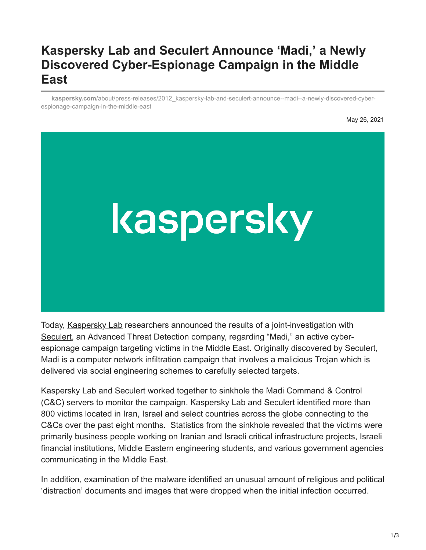# **Kaspersky Lab and Seculert Announce 'Madi,' a Newly Discovered Cyber-Espionage Campaign in the Middle East**

**kaspersky.com**[/about/press-releases/2012\\_kaspersky-lab-and-seculert-announce--madi--a-newly-discovered-cyber](https://www.kaspersky.com/about/press-releases/2012_kaspersky-lab-and-seculert-announce--madi--a-newly-discovered-cyber-espionage-campaign-in-the-middle-east)espionage-campaign-in-the-middle-east

May 26, 2021



Today, [Kaspersky Lab](http://www.kaspersky.com/) researchers announced the results of a joint-investigation with [Seculert](http://www.seculert.com/), an Advanced Threat Detection company, regarding "Madi," an active cyberespionage campaign targeting victims in the Middle East. Originally discovered by Seculert, Madi is a computer network infiltration campaign that involves a malicious Trojan which is delivered via social engineering schemes to carefully selected targets.

Kaspersky Lab and Seculert worked together to sinkhole the Madi Command & Control (C&C) servers to monitor the campaign. Kaspersky Lab and Seculert identified more than 800 victims located in Iran, Israel and select countries across the globe connecting to the C&Cs over the past eight months. Statistics from the sinkhole revealed that the victims were primarily business people working on Iranian and Israeli critical infrastructure projects, Israeli financial institutions, Middle Eastern engineering students, and various government agencies communicating in the Middle East.

In addition, examination of the malware identified an unusual amount of religious and political 'distraction' documents and images that were dropped when the initial infection occurred.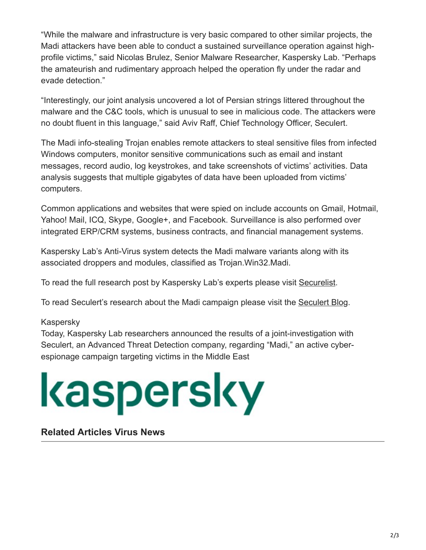"While the malware and infrastructure is very basic compared to other similar projects, the Madi attackers have been able to conduct a sustained surveillance operation against highprofile victims," said Nicolas Brulez, Senior Malware Researcher, Kaspersky Lab. "Perhaps the amateurish and rudimentary approach helped the operation fly under the radar and evade detection."

"Interestingly, our joint analysis uncovered a lot of Persian strings littered throughout the malware and the C&C tools, which is unusual to see in malicious code. The attackers were no doubt fluent in this language," said Aviv Raff, Chief Technology Officer, Seculert.

The Madi info-stealing Trojan enables remote attackers to steal sensitive files from infected Windows computers, monitor sensitive communications such as email and instant messages, record audio, log keystrokes, and take screenshots of victims' activities. Data analysis suggests that multiple gigabytes of data have been uploaded from victims' computers.

Common applications and websites that were spied on include accounts on Gmail, Hotmail, Yahoo! Mail, ICQ, Skype, Google+, and Facebook. Surveillance is also performed over integrated ERP/CRM systems, business contracts, and financial management systems.

Kaspersky Lab's Anti-Virus system detects the Madi malware variants along with its associated droppers and modules, classified as Trojan.Win32.Madi.

To read the full research post by Kaspersky Lab's experts please visit [Securelist](https://www.securelist.com/en/blog/208193677/The_Madi_Campaign_Part_I).

To read Seculert's research about the Madi campaign please visit the [Seculert Blog](http://blog.seculert.com/).

#### Kaspersky

Today, Kaspersky Lab researchers announced the results of a joint-investigation with Seculert, an Advanced Threat Detection company, regarding "Madi," an active cyberespionage campaign targeting victims in the Middle East

# kaspersky

#### **Related Articles Virus News**